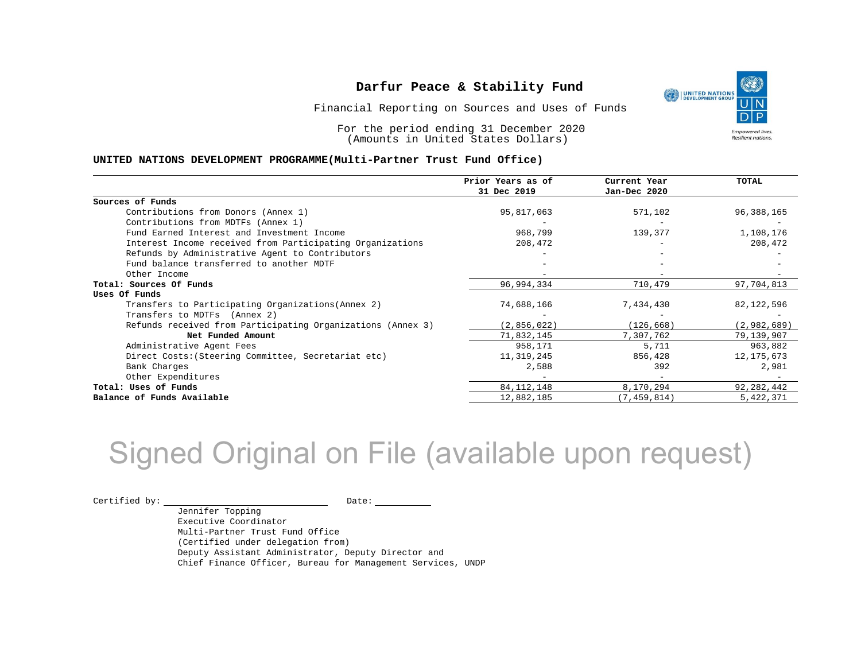Financial Reporting on Sources and Uses of Funds

For the period ending 31 December 2020 (Amounts in United States Dollars)

#### **UNITED NATIONS DEVELOPMENT PROGRAMME(Multi-Partner Trust Fund Office)**

|                                                             | Prior Years as of | Current Year  | TOTAL        |
|-------------------------------------------------------------|-------------------|---------------|--------------|
|                                                             | 31 Dec 2019       | Jan-Dec 2020  |              |
| Sources of Funds                                            |                   |               |              |
| Contributions from Donors (Annex 1)                         | 95,817,063        | 571,102       | 96,388,165   |
| Contributions from MDTFs (Annex 1)                          |                   |               |              |
| Fund Earned Interest and Investment Income                  | 968,799           | 139,377       | 1,108,176    |
| Interest Income received from Participating Organizations   | 208,472           |               | 208,472      |
| Refunds by Administrative Agent to Contributors             |                   |               |              |
| Fund balance transferred to another MDTF                    |                   |               |              |
| Other Income                                                |                   |               |              |
| Total: Sources Of Funds                                     | 96,994,334        | 710,479       | 97,704,813   |
| Uses Of Funds                                               |                   |               |              |
| Transfers to Participating Organizations (Annex 2)          | 74,688,166        | 7,434,430     | 82,122,596   |
| Transfers to MDTFs (Annex 2)                                |                   |               |              |
| Refunds received from Participating Organizations (Annex 3) | (2, 856, 022)     | (126, 668)    | (2,982,689)  |
| Net Funded Amount                                           | 71,832,145        | 7,307,762     | 79,139,907   |
| Administrative Agent Fees                                   | 958,171           | 5,711         | 963,882      |
| Direct Costs: (Steering Committee, Secretariat etc)         | 11,319,245        | 856,428       | 12, 175, 673 |
| Bank Charges                                                | 2,588             | 392           | 2,981        |
| Other Expenditures                                          |                   |               |              |
| Total: Uses of Funds                                        | 84, 112, 148      | 8,170,294     | 92, 282, 442 |
| Balance of Funds Available                                  | 12,882,185        | (7, 459, 814) | 5,422,371    |

## Signed Original on File (available upon request)

Certified by: Date:

Jennifer Topping Executive Coordinator Multi-Partner Trust Fund Office (Certified under delegation from) Deputy Assistant Administrator, Deputy Director and Chief Finance Officer, Bureau for Management Services, UNDP

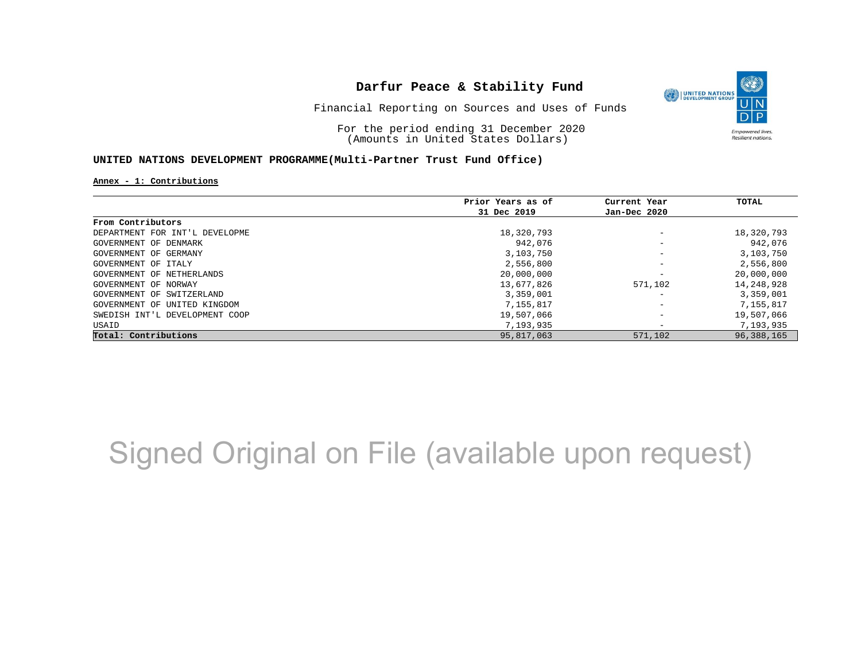

Financial Reporting on Sources and Uses of Funds

For the period ending 31 December 2020 (Amounts in United States Dollars)

#### **UNITED NATIONS DEVELOPMENT PROGRAMME(Multi-Partner Trust Fund Office)**

**Annex - 1: Contributions**

|                                | Prior Years as of | Current Year                 | TOTAL        |
|--------------------------------|-------------------|------------------------------|--------------|
|                                | 31 Dec 2019       | Jan-Dec 2020                 |              |
| From Contributors              |                   |                              |              |
| DEPARTMENT FOR INT'L DEVELOPME | 18,320,793        | $\overline{\phantom{m}}$     | 18,320,793   |
| GOVERNMENT OF DENMARK          | 942,076           | $\overline{\phantom{m}}$     | 942,076      |
| GOVERNMENT OF GERMANY          | 3,103,750         | $\qquad \qquad -$            | 3,103,750    |
| GOVERNMENT OF ITALY            | 2,556,800         | $\overline{\phantom{m}}$     | 2,556,800    |
| GOVERNMENT OF NETHERLANDS      | 20,000,000        | $\overline{\phantom{m}}$     | 20,000,000   |
| GOVERNMENT OF NORWAY           | 13,677,826        | 571,102                      | 14,248,928   |
| GOVERNMENT OF SWITZERLAND      | 3,359,001         | $\overline{\phantom{0}}$     | 3,359,001    |
| GOVERNMENT OF UNITED KINGDOM   | 7,155,817         | $\overline{\phantom{m}}$     | 7,155,817    |
| SWEDISH INT'L DEVELOPMENT COOP | 19,507,066        | $\overline{\phantom{m}}$     | 19,507,066   |
| USAID                          | 7,193,935         | $\qquad \qquad \blacksquare$ | 7,193,935    |
| Total: Contributions           | 95,817,063        | 571,102                      | 96, 388, 165 |

## Signed Original on File (available upon request)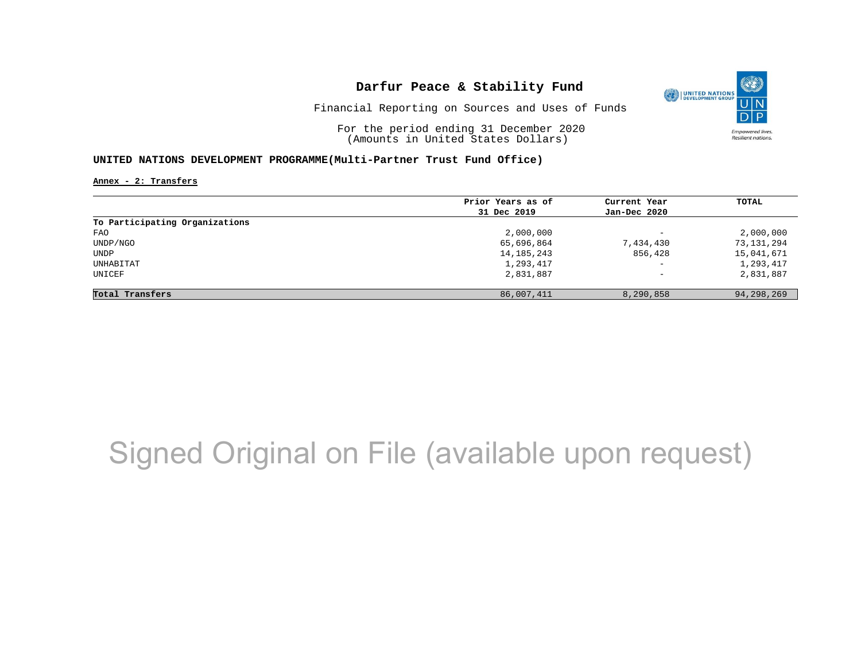

Financial Reporting on Sources and Uses of Funds

For the period ending 31 December 2020 (Amounts in United States Dollars)

#### **UNITED NATIONS DEVELOPMENT PROGRAMME(Multi-Partner Trust Fund Office)**

**Annex - 2: Transfers**

|                                | Prior Years as of | Current Year             | TOTAL      |
|--------------------------------|-------------------|--------------------------|------------|
|                                | 31 Dec 2019       | Jan-Dec 2020             |            |
| To Participating Organizations |                   |                          |            |
| FAO                            | 2,000,000         | $\overline{\phantom{0}}$ | 2,000,000  |
| UNDP/NGO                       | 65,696,864        | 7,434,430                | 73,131,294 |
| UNDP                           | 14, 185, 243      | 856,428                  | 15,041,671 |
| UNHABITAT                      | 1,293,417         | $\qquad \qquad -$        | 1,293,417  |
| UNICEF                         | 2,831,887         | $\qquad \qquad -$        | 2,831,887  |
| Total Transfers                | 86,007,411        | 8,290,858                | 94,298,269 |

## Signed Original on File (available upon request)